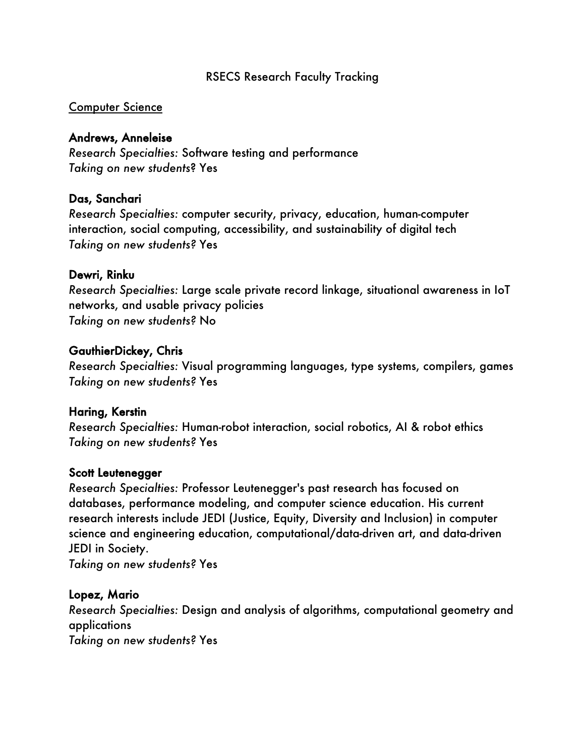#### RSECS Research Faculty Tracking

#### Computer Science

#### Andrews, Anneleise

*Research Specialties:* Software testing and performance *Taking on new students*? Yes

#### Das, Sanchari

*Research Specialties:* computer security, privacy, education, human-computer interaction, social computing, accessibility, and sustainability of digital tech *Taking on new students?* Yes

#### Dewri, Rinku

*Research Specialties:* Large scale private record linkage, situational awareness in IoT networks, and usable privacy policies *Taking on new students?* No

#### GauthierDickey, Chris

*Research Specialties:* Visual programming languages, type systems, compilers, games *Taking on new students?* Yes

#### Haring, Kerstin

*Research Specialties:* Human-robot interaction, social robotics, AI & robot ethics *Taking on new students?* Yes

#### Scott Leutenegger

*Research Specialties:* Professor Leutenegger's past research has focused on databases, performance modeling, and computer science education. His current research interests include JEDI (Justice, Equity, Diversity and Inclusion) in computer science and engineering education, computational/data-driven art, and data-driven JEDI in Society.

*Taking on new students?* Yes

## Lopez, Mario

*Research Specialties:* Design and analysis of algorithms, computational geometry and applications

*Taking on new students?* Yes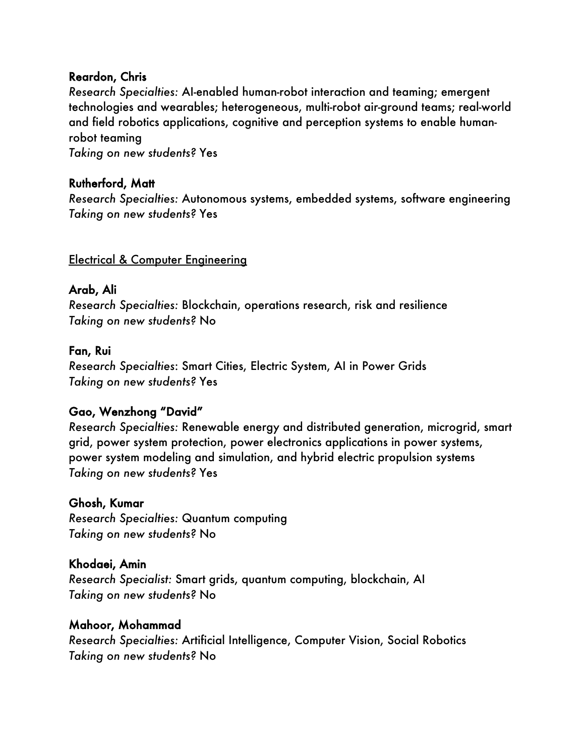## Reardon, Chris

*Research Specialties:* AI-enabled human-robot interaction and teaming; emergent technologies and wearables; heterogeneous, multi-robot air-ground teams; real-world and field robotics applications, cognitive and perception systems to enable humanrobot teaming

*Taking on new students?* Yes

## Rutherford, Matt

*Research Specialties:* Autonomous systems, embedded systems, software engineering *Taking on new students?* Yes

## Electrical & Computer Engineering

## Arab, Ali

*Research Specialties:* Blockchain, operations research, risk and resilience *Taking on new students?* No

## Fan, Rui

*Research Specialties*: Smart Cities, Electric System, AI in Power Grids *Taking on new students?* Yes

## Gao, Wenzhong "David"

*Research Specialties:* Renewable energy and distributed generation, microgrid, smart grid, power system protection, power electronics applications in power systems, power system modeling and simulation, and hybrid electric propulsion systems *Taking on new students?* Yes

## Ghosh, Kumar

*Research Specialties:* Quantum computing *Taking on new students?* No

## Khodaei, Amin

*Research Specialist:* Smart grids, quantum computing, blockchain, AI *Taking on new students?* No

## Mahoor, Mohammad

*Research Specialties:* Artificial Intelligence, Computer Vision, Social Robotics *Taking on new students?* No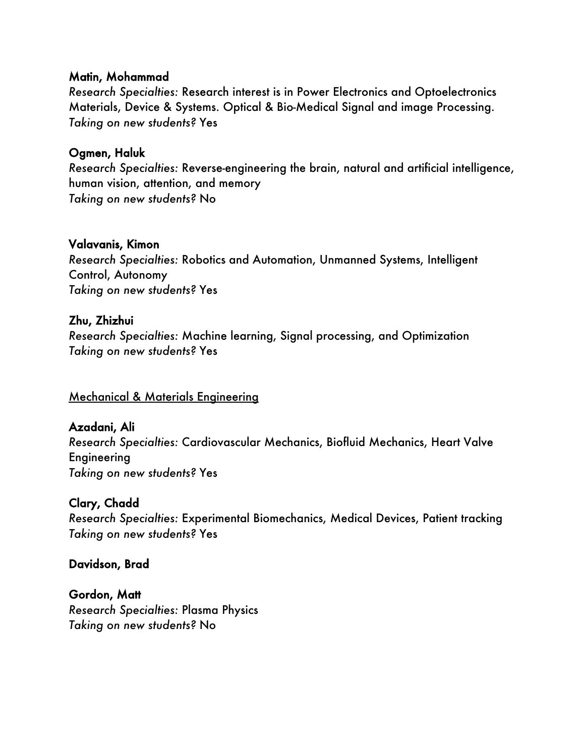#### Matin, Mohammad

*Research Specialties:* Research interest is in Power Electronics and Optoelectronics Materials, Device & Systems. Optical & Bio-Medical Signal and image Processing. *Taking on new students?* Yes

## Ogmen, Haluk

*Research Specialties:* Reverse-engineering the brain, natural and artificial intelligence, human vision, attention, and memory *Taking on new students?* No

#### Valavanis, Kimon

*Research Specialties:* Robotics and Automation, Unmanned Systems, Intelligent Control, Autonomy *Taking on new students?* Yes

## Zhu, Zhizhui

*Research Specialties:* Machine learning, Signal processing, and Optimization *Taking on new students?* Yes

## Mechanical & Materials Engineering

Azadani, Ali *Research Specialties:* Cardiovascular Mechanics, Biofluid Mechanics, Heart Valve Engineering *Taking on new students?* Yes

## Clary, Chadd

*Research Specialties:* Experimental Biomechanics, Medical Devices, Patient tracking *Taking on new students?* Yes

Davidson, Brad

Gordon, Matt *Research Specialties:* Plasma Physics *Taking on new students?* No